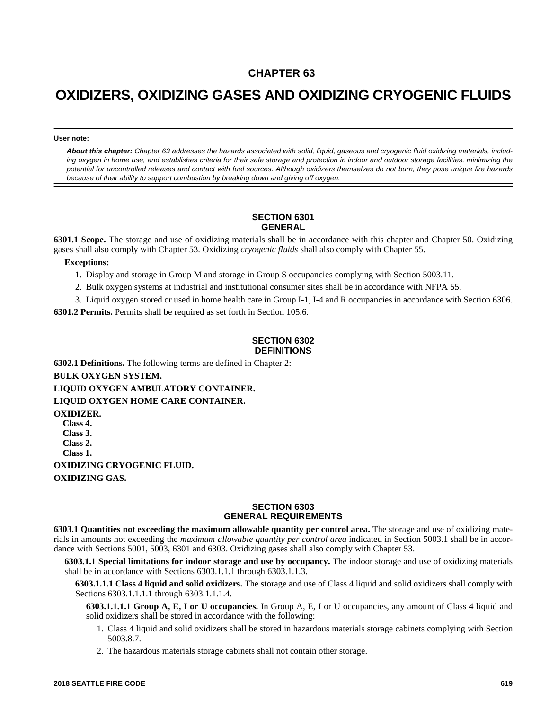# **CHAPTER 63**

# **OXIDIZERS, OXIDIZING GASES AND OXIDIZING CRYOGENIC FLUIDS**

**User note:**

*About this chapter: Chapter 63 addresses the hazards associated with solid, liquid, gaseous and cryogenic fluid oxidizing materials, including oxygen in home use, and establishes criteria for their safe storage and protection in indoor and outdoor storage facilities, minimizing the potential for uncontrolled releases and contact with fuel sources. Although oxidizers themselves do not burn, they pose unique fire hazards because of their ability to support combustion by breaking down and giving off oxygen.*

# **SECTION 6301 GENERAL**

**6301.1 Scope.** The storage and use of oxidizing materials shall be in accordance with this chapter and Chapter 50. Oxidizing gases shall also comply with Chapter 53. Oxidizing *cryogenic fluids* shall also comply with Chapter 55.

#### **Exceptions:**

1. Display and storage in Group M and storage in Group S occupancies complying with Section 5003.11.

2. Bulk oxygen systems at industrial and institutional consumer sites shall be in accordance with NFPA 55.

3. Liquid oxygen stored or used in home health care in Group I-1, I-4 and R occupancies in accordance with Section 6306.

**6301.2 Permits.** Permits shall be required as set forth in Section 105.6.

### **SECTION 6302 DEFINITIONS**

**6302.1 Definitions.** The following terms are defined in Chapter 2: **BULK OXYGEN SYSTEM. LIQUID OXYGEN AMBULATORY CONTAINER. LIQUID OXYGEN HOME CARE CONTAINER. OXIDIZER. Class 4. Class 3. Class 2. Class 1. OXIDIZING CRYOGENIC FLUID. OXIDIZING GAS.**

#### **SECTION 6303 GENERAL REQUIREMENTS**

**6303.1 Quantities not exceeding the maximum allowable quantity per control area.** The storage and use of oxidizing materials in amounts not exceeding the *maximum allowable quantity per control area* indicated in Section 5003.1 shall be in accordance with Sections 5001, 5003, 6301 and 6303. Oxidizing gases shall also comply with Chapter 53.

**6303.1.1 Special limitations for indoor storage and use by occupancy.** The indoor storage and use of oxidizing materials shall be in accordance with Sections 6303.1.1.1 through 6303.1.1.3.

**6303.1.1.1 Class 4 liquid and solid oxidizers.** The storage and use of Class 4 liquid and solid oxidizers shall comply with Sections 6303.1.1.1.1 through 6303.1.1.1.4.

**6303.1.1.1.1 Group A, E, I or U occupancies.** In Group A, E, I or U occupancies, any amount of Class 4 liquid and solid oxidizers shall be stored in accordance with the following:

- 1. Class 4 liquid and solid oxidizers shall be stored in hazardous materials storage cabinets complying with Section 5003.8.7.
- 2. The hazardous materials storage cabinets shall not contain other storage.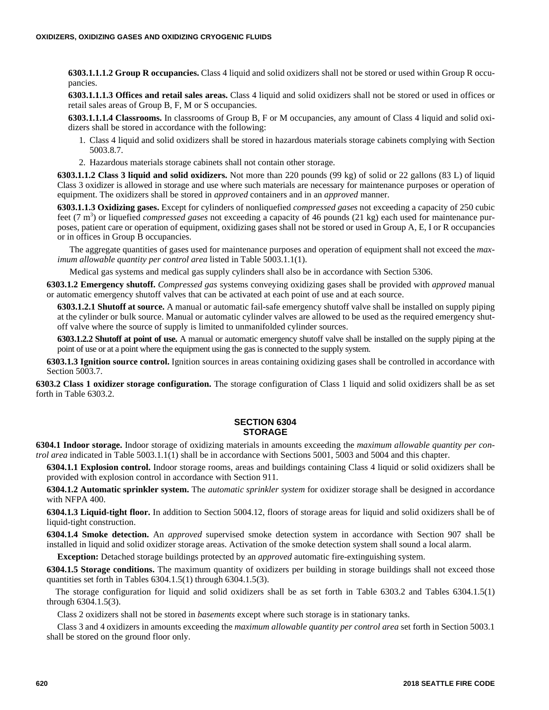**6303.1.1.1.2 Group R occupancies.** Class 4 liquid and solid oxidizers shall not be stored or used within Group R occupancies.

**6303.1.1.1.3 Offices and retail sales areas.** Class 4 liquid and solid oxidizers shall not be stored or used in offices or retail sales areas of Group B, F, M or S occupancies.

**6303.1.1.1.4 Classrooms.** In classrooms of Group B, F or M occupancies, any amount of Class 4 liquid and solid oxidizers shall be stored in accordance with the following:

- 1. Class 4 liquid and solid oxidizers shall be stored in hazardous materials storage cabinets complying with Section 5003.8.7.
- 2. Hazardous materials storage cabinets shall not contain other storage.

**6303.1.1.2 Class 3 liquid and solid oxidizers.** Not more than 220 pounds (99 kg) of solid or 22 gallons (83 L) of liquid Class 3 oxidizer is allowed in storage and use where such materials are necessary for maintenance purposes or operation of equipment. The oxidizers shall be stored in *approved* containers and in an *approved* manner.

**6303.1.1.3 Oxidizing gases.** Except for cylinders of nonliquefied *compressed gases* not exceeding a capacity of 250 cubic feet (7 m<sup>3</sup>) or liquefied *compressed gases* not exceeding a capacity of 46 pounds (21 kg) each used for maintenance purposes, patient care or operation of equipment, oxidizing gases shall not be stored or used in Group A, E, I or R occupancies or in offices in Group B occupancies.

The aggregate quantities of gases used for maintenance purposes and operation of equipment shall not exceed the *maximum allowable quantity per control area* listed in Table 5003.1.1(1).

Medical gas systems and medical gas supply cylinders shall also be in accordance with Section 5306.

**6303.1.2 Emergency shutoff.** *Compressed gas* systems conveying oxidizing gases shall be provided with *approved* manual or automatic emergency shutoff valves that can be activated at each point of use and at each source.

**6303.1.2.1 Shutoff at source.** A manual or automatic fail-safe emergency shutoff valve shall be installed on supply piping at the cylinder or bulk source. Manual or automatic cylinder valves are allowed to be used as the required emergency shutoff valve where the source of supply is limited to unmanifolded cylinder sources.

**6303.1.2.2 Shutoff at point of use.** A manual or automatic emergency shutoff valve shall be installed on the supply piping at the point of use or at a point where the equipment using the gas is connected to the supply system.

**6303.1.3 Ignition source control.** Ignition sources in areas containing oxidizing gases shall be controlled in accordance with Section 5003.7.

**6303.2 Class 1 oxidizer storage configuration.** The storage configuration of Class 1 liquid and solid oxidizers shall be as set forth in Table 6303.2.

# **SECTION 6304 STORAGE**

**6304.1 Indoor storage.** Indoor storage of oxidizing materials in amounts exceeding the *maximum allowable quantity per control area* indicated in Table 5003.1.1(1) shall be in accordance with Sections 5001, 5003 and 5004 and this chapter.

**6304.1.1 Explosion control.** Indoor storage rooms, areas and buildings containing Class 4 liquid or solid oxidizers shall be provided with explosion control in accordance with Section 911.

**6304.1.2 Automatic sprinkler system.** The *automatic sprinkler system* for oxidizer storage shall be designed in accordance with NFPA 400.

**6304.1.3 Liquid-tight floor.** In addition to Section 5004.12, floors of storage areas for liquid and solid oxidizers shall be of liquid-tight construction.

**6304.1.4 Smoke detection.** An *approved* supervised smoke detection system in accordance with Section 907 shall be installed in liquid and solid oxidizer storage areas. Activation of the smoke detection system shall sound a local alarm.

**Exception:** Detached storage buildings protected by an *approved* automatic fire-extinguishing system.

**6304.1.5 Storage conditions.** The maximum quantity of oxidizers per building in storage buildings shall not exceed those quantities set forth in Tables 6304.1.5(1) through 6304.1.5(3).

The storage configuration for liquid and solid oxidizers shall be as set forth in Table 6303.2 and Tables 6304.1.5(1) through 6304.1.5(3).

Class 2 oxidizers shall not be stored in *basements* except where such storage is in stationary tanks.

Class 3 and 4 oxidizers in amounts exceeding the *maximum allowable quantity per control area* set forth in Section 5003.1 shall be stored on the ground floor only.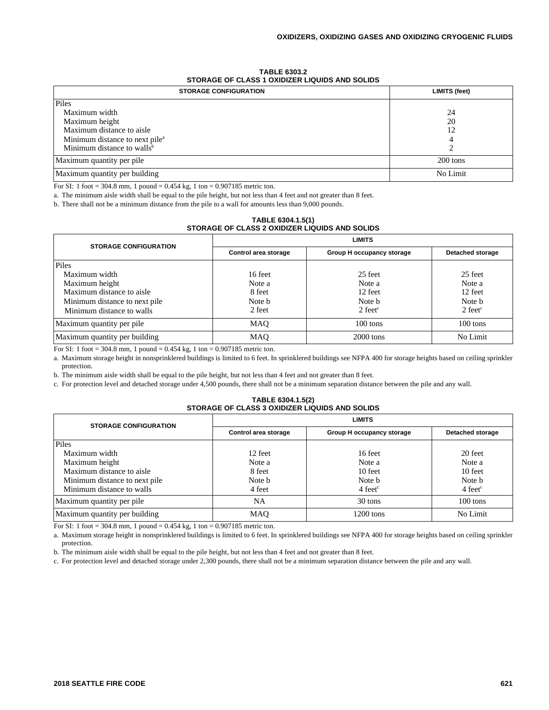| <b>TABLE 6303.2</b>                            |  |
|------------------------------------------------|--|
| STORAGE OF CLASS 1 OXIDIZER LIQUIDS AND SOLIDS |  |
|                                                |  |

| <b>STORAGE CONFIGURATION</b>               | LIMITS (feet) |
|--------------------------------------------|---------------|
| Piles                                      |               |
| Maximum width                              | 24            |
| Maximum height                             | 20            |
| Maximum distance to aisle                  | 12            |
| Minimum distance to next pile <sup>a</sup> |               |
| Minimum distance to walls <sup>b</sup>     |               |
| Maximum quantity per pile                  | $200$ tons    |
| Maximum quantity per building              | No Limit      |

For SI: 1 foot = 304.8 mm, 1 pound = 0.454 kg, 1 ton = 0.907185 metric ton.

a. The minimum aisle width shall be equal to the pile height, but not less than 4 feet and not greater than 8 feet.

b. There shall not be a minimum distance from the pile to a wall for amounts less than 9,000 pounds.

| TABLE 6304.1.5(1)                              |
|------------------------------------------------|
| STORAGE OF CLASS 2 OXIDIZER LIQUIDS AND SOLIDS |
|                                                |

| <b>STORAGE CONFIGURATION</b>  | <b>LIMITS</b>        |                           |                         |
|-------------------------------|----------------------|---------------------------|-------------------------|
|                               | Control area storage | Group H occupancy storage | <b>Detached storage</b> |
| Piles                         |                      |                           |                         |
| Maximum width                 | 16 feet              | 25 feet                   | 25 feet                 |
| Maximum height                | Note a               | Note a                    | Note a                  |
| Maximum distance to aisle     | 8 feet               | 12 feet                   | 12 feet                 |
| Minimum distance to next pile | Note b               | Note b                    | Note b                  |
| Minimum distance to walls     | 2 feet               | 2 feet <sup>c</sup>       | $2$ feet <sup>c</sup>   |
| Maximum quantity per pile     | MAO                  | $100 \text{ tons}$        | $100 \text{ tons}$      |
| Maximum quantity per building | MAO                  | $2000$ tons               | No Limit                |

For SI: 1 foot = 304.8 mm, 1 pound =  $0.454$  kg, 1 ton =  $0.907185$  metric ton.

a. Maximum storage height in nonsprinklered buildings is limited to 6 feet. In sprinklered buildings see NFPA 400 for storage heights based on ceiling sprinkler protection.

b. The minimum aisle width shall be equal to the pile height, but not less than 4 feet and not greater than 8 feet.

c. For protection level and detached storage under 4,500 pounds, there shall not be a minimum separation distance between the pile and any wall.

#### **TABLE 6304.1.5(2) STORAGE OF CLASS 3 OXIDIZER LIQUIDS AND SOLIDS**

| <b>STORAGE CONFIGURATION</b>  | <b>LIMITS</b>        |                             |                             |
|-------------------------------|----------------------|-----------------------------|-----------------------------|
|                               | Control area storage | Group H occupancy storage   | <b>Detached storage</b>     |
| Piles                         |                      |                             |                             |
| Maximum width                 | 12 feet              | 16 feet                     | 20 feet                     |
| Maximum height                | Note a               | Note a                      | Note a                      |
| Maximum distance to aisle     | 8 feet               | 10 feet                     | 10 feet                     |
| Minimum distance to next pile | Note b               | Note b                      | Note b                      |
| Minimum distance to walls     | 4 feet               | $4 \text{ feet}^{\text{c}}$ | $4 \text{ feet}^{\text{c}}$ |
| Maximum quantity per pile     | NA                   | 30 tons                     | $100$ tons                  |
| Maximum quantity per building | <b>MAO</b>           | 1200 tons                   | No Limit                    |

For SI: 1 foot = 304.8 mm, 1 pound = 0.454 kg, 1 ton = 0.907185 metric ton.

a. Maximum storage height in nonsprinklered buildings is limited to 6 feet. In sprinklered buildings see NFPA 400 for storage heights based on ceiling sprinkler protection.

b. The minimum aisle width shall be equal to the pile height, but not less than 4 feet and not greater than 8 feet.

c. For protection level and detached storage under 2,300 pounds, there shall not be a minimum separation distance between the pile and any wall.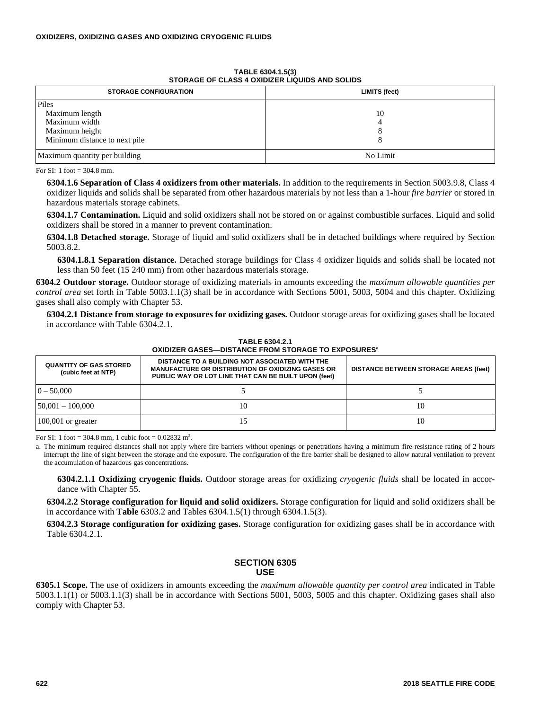| STORAGE OF CLASS 4 OXIDIZER LIQUIDS AND SOLIDS |               |  |
|------------------------------------------------|---------------|--|
| <b>STORAGE CONFIGURATION</b>                   | LIMITS (feet) |  |
| <b>Piles</b>                                   |               |  |
| Maximum length                                 | 10            |  |
| Maximum width                                  |               |  |
| Maximum height                                 |               |  |
| Minimum distance to next pile                  |               |  |
| Maximum quantity per building                  | No Limit      |  |

**TABLE 6304.1.5(3) STORAGE OF CLASS 4 OXIDIZER LIQUIDS AND SOLIDS**

For SI: 1 foot =  $304.8$  mm.

**6304.1.6 Separation of Class 4 oxidizers from other materials.** In addition to the requirements in Section 5003.9.8, Class 4 oxidizer liquids and solids shall be separated from other hazardous materials by not less than a 1-hour *fire barrier* or stored in hazardous materials storage cabinets.

**6304.1.7 Contamination.** Liquid and solid oxidizers shall not be stored on or against combustible surfaces. Liquid and solid oxidizers shall be stored in a manner to prevent contamination.

**6304.1.8 Detached storage.** Storage of liquid and solid oxidizers shall be in detached buildings where required by Section 5003.8.2.

**6304.1.8.1 Separation distance.** Detached storage buildings for Class 4 oxidizer liquids and solids shall be located not less than 50 feet (15 240 mm) from other hazardous materials storage.

**6304.2 Outdoor storage.** Outdoor storage of oxidizing materials in amounts exceeding the *maximum allowable quantities per control area* set forth in Table 5003.1.1(3) shall be in accordance with Sections 5001, 5003, 5004 and this chapter. Oxidizing gases shall also comply with Chapter 53.

**6304.2.1 Distance from storage to exposures for oxidizing gases.** Outdoor storage areas for oxidizing gases shall be located in accordance with Table 6304.2.1.

| <u>UAIDIZEN GASEST DISTANGE FNUM STUNAGE TU EAFUSUNES</u> |                                                                                                                                                                    |                                              |  |
|-----------------------------------------------------------|--------------------------------------------------------------------------------------------------------------------------------------------------------------------|----------------------------------------------|--|
| <b>QUANTITY OF GAS STORED</b><br>(cubic feet at NTP)      | DISTANCE TO A BUILDING NOT ASSOCIATED WITH THE<br><b>MANUFACTURE OR DISTRIBUTION OF OXIDIZING GASES OR</b><br>PUBLIC WAY OR LOT LINE THAT CAN BE BUILT UPON (feet) | <b>DISTANCE BETWEEN STORAGE AREAS (feet)</b> |  |
| $0 - 50,000$                                              |                                                                                                                                                                    |                                              |  |
| $50,001 - 100,000$                                        | 10                                                                                                                                                                 | 10                                           |  |
| $100,001$ or greater                                      |                                                                                                                                                                    | 10                                           |  |

**TABLE 6304.2.1 OXIDIZER GASES—DISTANCE FROM STORAGE TO EXPOSURES<sup>a</sup>**

For SI: 1 foot =  $304.8$  mm, 1 cubic foot =  $0.02832$  m<sup>3</sup>.

a. The minimum required distances shall not apply where fire barriers without openings or penetrations having a minimum fire-resistance rating of 2 hours interrupt the line of sight between the storage and the exposure. The configuration of the fire barrier shall be designed to allow natural ventilation to prevent the accumulation of hazardous gas concentrations.

**6304.2.1.1 Oxidizing cryogenic fluids.** Outdoor storage areas for oxidizing *cryogenic fluids* shall be located in accordance with Chapter 55.

**6304.2.2 Storage configuration for liquid and solid oxidizers.** Storage configuration for liquid and solid oxidizers shall be in accordance with **Table** 6303.2 and Tables 6304.1.5(1) through 6304.1.5(3).

**6304.2.3 Storage configuration for oxidizing gases.** Storage configuration for oxidizing gases shall be in accordance with Table 6304.2.1.

# **SECTION 6305 USE**

**6305.1 Scope.** The use of oxidizers in amounts exceeding the *maximum allowable quantity per control area* indicated in Table 5003.1.1(1) or 5003.1.1(3) shall be in accordance with Sections 5001, 5003, 5005 and this chapter. Oxidizing gases shall also comply with Chapter 53.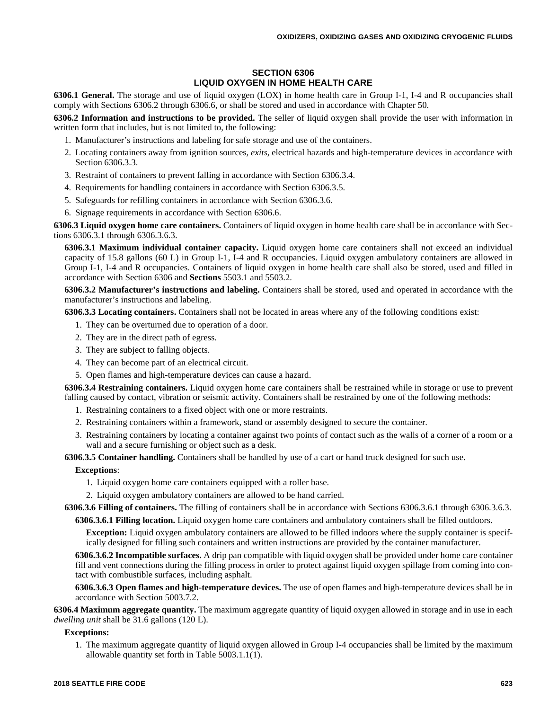# **SECTION 6306 LIQUID OXYGEN IN HOME HEALTH CARE**

**6306.1 General.** The storage and use of liquid oxygen (LOX) in home health care in Group I-1, I-4 and R occupancies shall comply with Sections 6306.2 through 6306.6, or shall be stored and used in accordance with Chapter 50.

**6306.2 Information and instructions to be provided.** The seller of liquid oxygen shall provide the user with information in written form that includes, but is not limited to, the following:

- 1. Manufacturer's instructions and labeling for safe storage and use of the containers.
- 2. Locating containers away from ignition sources, *exits,* electrical hazards and high-temperature devices in accordance with Section 6306.3.3.
- 3. Restraint of containers to prevent falling in accordance with Section 6306.3.4.
- 4. Requirements for handling containers in accordance with Section 6306.3.5.
- 5. Safeguards for refilling containers in accordance with Section 6306.3.6.
- 6. Signage requirements in accordance with Section 6306.6.

**6306.3 Liquid oxygen home care containers.** Containers of liquid oxygen in home health care shall be in accordance with Sections 6306.3.1 through 6306.3.6.3.

**6306.3.1 Maximum individual container capacity.** Liquid oxygen home care containers shall not exceed an individual capacity of 15.8 gallons (60 L) in Group I-1, I-4 and R occupancies. Liquid oxygen ambulatory containers are allowed in Group I-1, I-4 and R occupancies. Containers of liquid oxygen in home health care shall also be stored, used and filled in accordance with Section 6306 and **Sections** 5503.1 and 5503.2.

**6306.3.2 Manufacturer's instructions and labeling.** Containers shall be stored, used and operated in accordance with the manufacturer's instructions and labeling.

**6306.3.3 Locating containers.** Containers shall not be located in areas where any of the following conditions exist:

- 1. They can be overturned due to operation of a door.
- 2. They are in the direct path of egress.
- 3. They are subject to falling objects.
- 4. They can become part of an electrical circuit.
- 5. Open flames and high-temperature devices can cause a hazard.

**6306.3.4 Restraining containers.** Liquid oxygen home care containers shall be restrained while in storage or use to prevent falling caused by contact, vibration or seismic activity. Containers shall be restrained by one of the following methods:

- 1. Restraining containers to a fixed object with one or more restraints.
- 2. Restraining containers within a framework, stand or assembly designed to secure the container.
- 3. Restraining containers by locating a container against two points of contact such as the walls of a corner of a room or a wall and a secure furnishing or object such as a desk.

**6306.3.5 Container handling.** Containers shall be handled by use of a cart or hand truck designed for such use.

#### **Exceptions**:

1. Liquid oxygen home care containers equipped with a roller base.

2. Liquid oxygen ambulatory containers are allowed to be hand carried.

**6306.3.6 Filling of containers.** The filling of containers shall be in accordance with Sections 6306.3.6.1 through 6306.3.6.3.

**6306.3.6.1 Filling location.** Liquid oxygen home care containers and ambulatory containers shall be filled outdoors.

**Exception:** Liquid oxygen ambulatory containers are allowed to be filled indoors where the supply container is specifically designed for filling such containers and written instructions are provided by the container manufacturer.

**6306.3.6.2 Incompatible surfaces.** A drip pan compatible with liquid oxygen shall be provided under home care container fill and vent connections during the filling process in order to protect against liquid oxygen spillage from coming into contact with combustible surfaces, including asphalt.

**6306.3.6.3 Open flames and high-temperature devices.** The use of open flames and high-temperature devices shall be in accordance with Section 5003.7.2.

**6306.4 Maximum aggregate quantity.** The maximum aggregate quantity of liquid oxygen allowed in storage and in use in each *dwelling unit* shall be 31.6 gallons (120 L).

**Exceptions:**

1. The maximum aggregate quantity of liquid oxygen allowed in Group I-4 occupancies shall be limited by the maximum allowable quantity set forth in Table 5003.1.1(1).